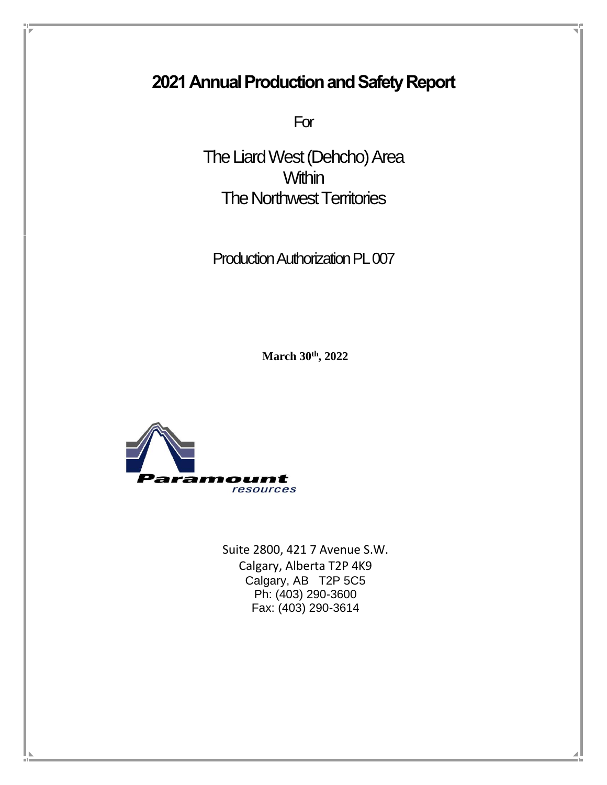# **2021 Annual Production and Safety Report**

For

The Liard West (Dehcho) Area **Within** The Northwest Territories

Production Authorization PL 007

**March 30 th, 2022**



Suite 2800, 421 7 Avenue S.W. Calgary, Alberta T2P 4K9 Calgary, AB T2P 5C5 Ph: (403) 290-3600 Fax: (403) 290-3614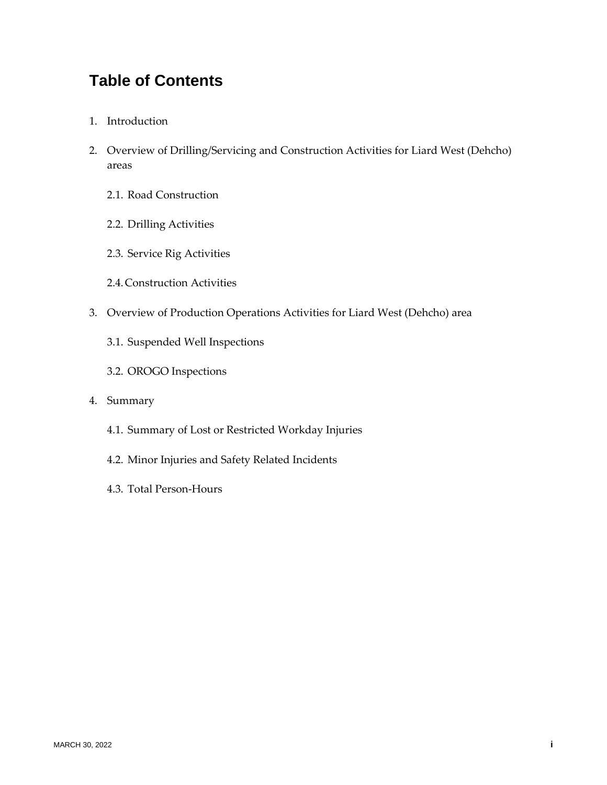# **Table of Contents**

- 1. Introduction
- 2. Overview of Drilling/Servicing and Construction Activities for Liard West (Dehcho) areas
	- 2.1. Road Construction
	- 2.2. Drilling Activities
	- 2.3. Service Rig Activities
	- 2.4.Construction Activities
- 3. Overview of Production Operations Activities for Liard West (Dehcho) area
	- 3.1. Suspended Well Inspections
	- 3.2. OROGO Inspections
- 4. Summary
	- 4.1. Summary of Lost or Restricted Workday Injuries
	- 4.2. Minor Injuries and Safety Related Incidents
	- 4.3. Total Person-Hours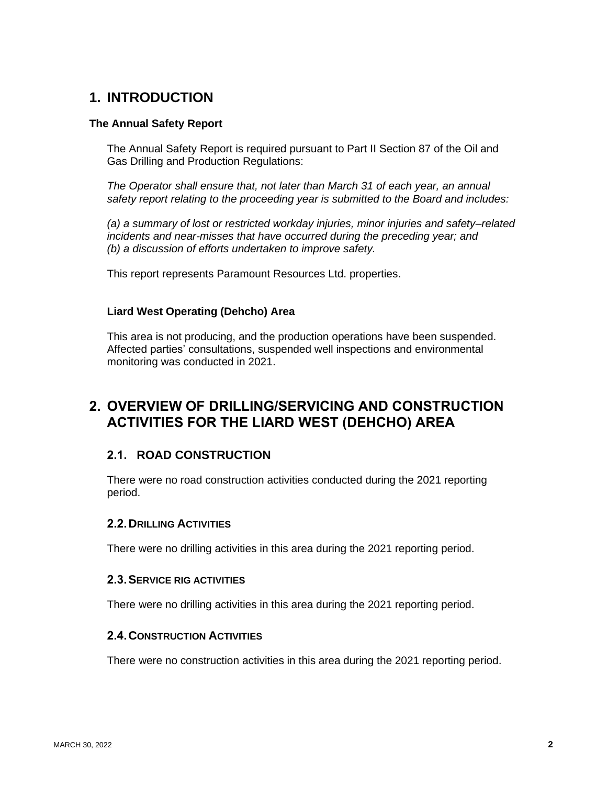## **1. INTRODUCTION**

#### **The Annual Safety Report**

The Annual Safety Report is required pursuant to Part II Section 87 of the Oil and Gas Drilling and Production Regulations:

*The Operator shall ensure that, not later than March 31 of each year, an annual safety report relating to the proceeding year is submitted to the Board and includes:*

*(a) a summary of lost or restricted workday injuries, minor injuries and safety–related incidents and near-misses that have occurred during the preceding year; and (b) a discussion of efforts undertaken to improve safety.*

This report represents Paramount Resources Ltd. properties.

#### **Liard West Operating (Dehcho) Area**

This area is not producing, and the production operations have been suspended. Affected parties' consultations, suspended well inspections and environmental monitoring was conducted in 2021.

## **2. OVERVIEW OF DRILLING/SERVICING AND CONSTRUCTION ACTIVITIES FOR THE LIARD WEST (DEHCHO) AREA**

### **2.1. ROAD CONSTRUCTION**

There were no road construction activities conducted during the 2021 reporting period.

#### **2.2.DRILLING ACTIVITIES**

There were no drilling activities in this area during the 2021 reporting period.

#### **2.3.SERVICE RIG ACTIVITIES**

There were no drilling activities in this area during the 2021 reporting period.

#### **2.4.CONSTRUCTION ACTIVITIES**

There were no construction activities in this area during the 2021 reporting period.